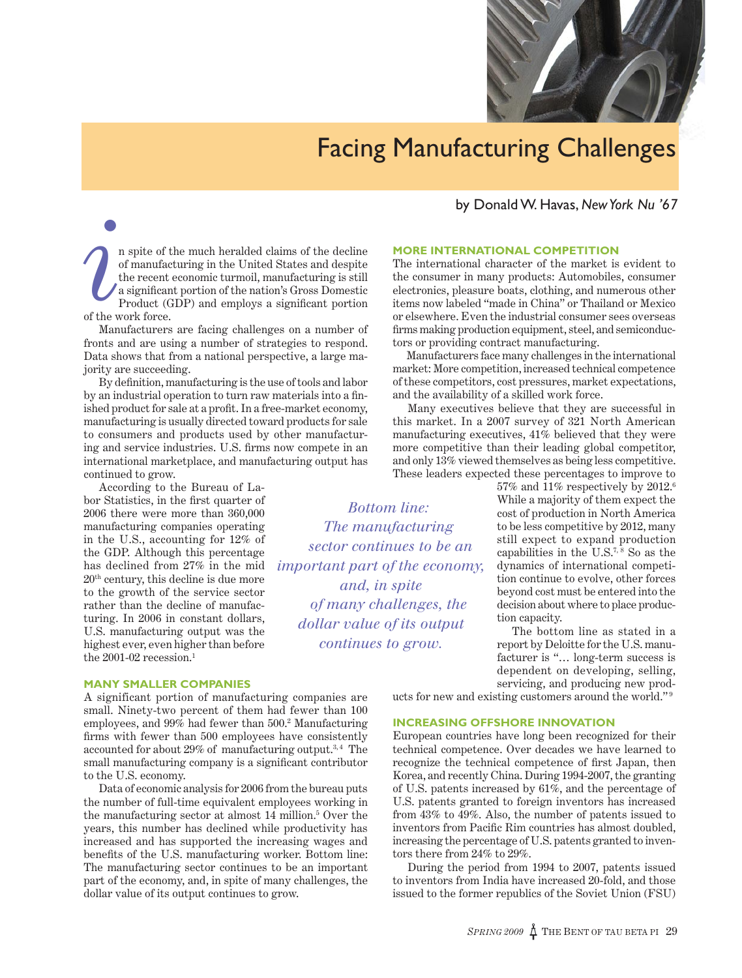

# Facing Manufacturing Challenges

by Donald W. Havas, *New York Nu '67*

n spite of the much heralded claims of the decline of manufacturing in the United States and despite the recent economic turmoil, manufacturing is still a significant portion of the nation's Gross Domestic Product (GDP) and employs a significant portion of the work force. *i*

Manufacturers are facing challenges on a number of fronts and are using a number of strategies to respond. Data shows that from a national perspective, a large majority are succeeding.

By definition, manufacturing is the use of tools and labor by an industrial operation to turn raw materials into a finished product for sale at a profit. In a free-market economy, manufacturing is usually directed toward products for sale to consumers and products used by other manufacturing and service industries. U.S. firms now compete in an international marketplace, and manufacturing output has continued to grow.

According to the Bureau of Labor Statistics, in the first quarter of 2006 there were more than 360,000 manufacturing companies operating in the U.S., accounting for 12% of the GDP. Although this percentage has declined from 27% in the mid 20th century, this decline is due more to the growth of the service sector rather than the decline of manufacturing. In 2006 in constant dollars, U.S. manufacturing output was the highest ever, even higher than before the 2001-02 recession.<sup>1</sup>

#### **MANY SMALLER COMPANIES**

A significant portion of manufacturing companies are small. Ninety-two percent of them had fewer than 100 employees, and 99% had fewer than 500.2 Manufacturing firms with fewer than 500 employees have consistently accounted for about 29% of manufacturing output.<sup>3,4</sup> The small manufacturing company is a significant contributor to the U.S. economy.

Data of economic analysis for 2006 from the bureau puts the number of full-time equivalent employees working in the manufacturing sector at almost 14 million.5 Over the years, this number has declined while productivity has increased and has supported the increasing wages and benefits of the U.S. manufacturing worker. Bottom line: The manufacturing sector continues to be an important part of the economy, and, in spite of many challenges, the dollar value of its output continues to grow.

## **MORE INTERNATIONAL COMPETITION**

The international character of the market is evident to the consumer in many products: Automobiles, consumer electronics, pleasure boats, clothing, and numerous other items now labeled "made in China" or Thailand or Mexico or elsewhere. Even the industrial consumer sees overseas firms making production equipment, steel, and semiconductors or providing contract manufacturing.

Manufacturers face many challenges in the international market: More competition, increased technical competence of these competitors, cost pressures, market expectations, and the availability of a skilled work force.

Many executives believe that they are successful in this market. In a 2007 survey of 321 North American manufacturing executives, 41% believed that they were more competitive than their leading global competitor, and only 13% viewed themselves as being less competitive. These leaders expected these percentages to improve to

> 57% and 11% respectively by 2012.6 While a majority of them expect the cost of production in North America to be less competitive by 2012, many still expect to expand production capabilities in the  $\mathrm{U.S.}^{7,8}$  So as the dynamics of international competition continue to evolve, other forces beyond cost must be entered into the decision about where to place production capacity.

> The bottom line as stated in a report by Deloitte for the U.S. manufacturer is "… long-term success is dependent on developing, selling, servicing, and producing new prod-

ucts for new and existing customers around the world."<sup>9</sup>

#### **INCREASING OFFSHORE INNOVATION**

*Bottom line: The manufacturing sector continues to be an important part of the economy, and, in spite of many challenges, the dollar value of its output continues to grow.* 

> European countries have long been recognized for their technical competence. Over decades we have learned to recognize the technical competence of first Japan, then Korea, and recently China. During 1994-2007, the granting of U.S. patents increased by 61%, and the percentage of U.S. patents granted to foreign inventors has increased from 43% to 49%. Also, the number of patents issued to inventors from Pacific Rim countries has almost doubled, increasing the percentage of U.S. patents granted to inventors there from 24% to 29%.

> During the period from 1994 to 2007, patents issued to inventors from India have increased 20-fold, and those issued to the former republics of the Soviet Union (FSU)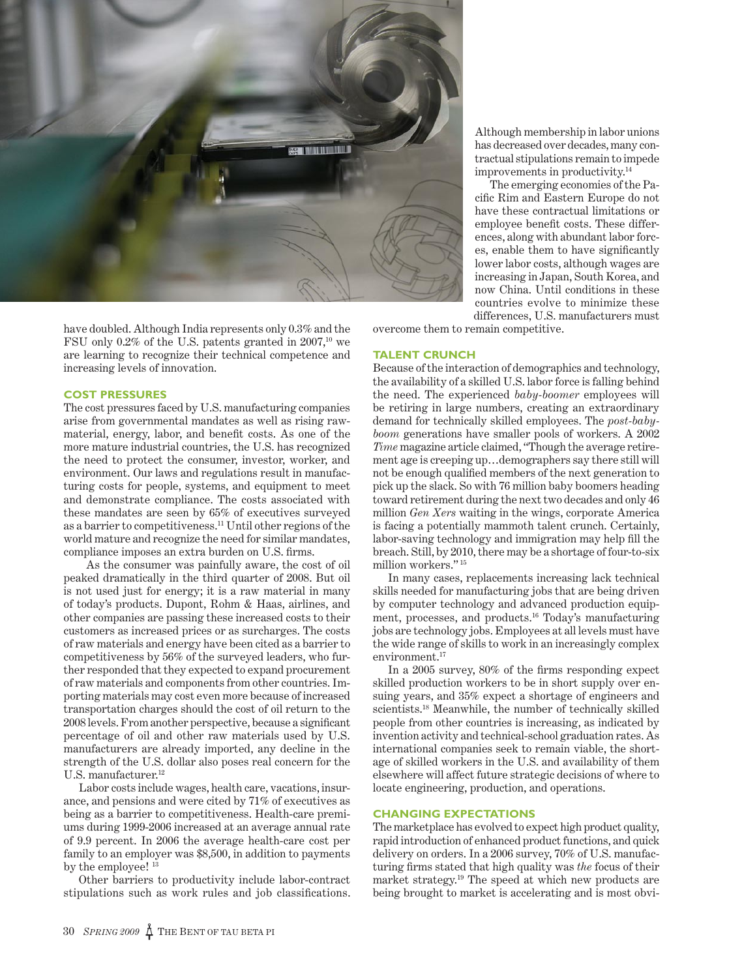

have doubled. Although India represents only 0.3% and the FSU only  $0.2\%$  of the U.S. patents granted in  $2007$ ,<sup>10</sup> we are learning to recognize their technical competence and increasing levels of innovation.

# **COST PRESSURES**

The cost pressures faced by U.S. manufacturing companies arise from governmental mandates as well as rising rawmaterial, energy, labor, and benefit costs. As one of the more mature industrial countries, the U.S. has recognized the need to protect the consumer, investor, worker, and environment. Our laws and regulations result in manufacturing costs for people, systems, and equipment to meet and demonstrate compliance. The costs associated with these mandates are seen by 65% of executives surveyed as a barrier to competitiveness.11 Until other regions of the world mature and recognize the need for similar mandates, compliance imposes an extra burden on U.S. firms.

As the consumer was painfully aware, the cost of oil peaked dramatically in the third quarter of 2008. But oil is not used just for energy; it is a raw material in many of today's products. Dupont, Rohm & Haas, airlines, and other companies are passing these increased costs to their customers as increased prices or as surcharges. The costs of raw materials and energy have been cited as a barrier to competitiveness by 56% of the surveyed leaders, who further responded that they expected to expand procurement of raw materials and components from other countries. Importing materials may cost even more because of increased transportation charges should the cost of oil return to the 2008 levels. From another perspective, because a significant percentage of oil and other raw materials used by U.S. manufacturers are already imported, any decline in the strength of the U.S. dollar also poses real concern for the U.S. manufacturer.<sup>12</sup>

Labor costs include wages, health care, vacations, insurance, and pensions and were cited by 71% of executives as being as a barrier to competitiveness. Health-care premiums during 1999-2006 increased at an average annual rate of 9.9 percent. In 2006 the average health-care cost per family to an employer was \$8,500, in addition to payments by the employee! 13

Other barriers to productivity include labor-contract stipulations such as work rules and job classifications.

Although membership in labor unions has decreased over decades, many contractual stipulations remain to impede improvements in productivity.14

The emerging economies of the Pacific Rim and Eastern Europe do not have these contractual limitations or employee benefit costs. These differences, along with abundant labor forces, enable them to have significantly lower labor costs, although wages are increasing in Japan, South Korea, and now China. Until conditions in these countries evolve to minimize these differences, U.S. manufacturers must

overcome them to remain competitive.

#### **TALENT CRUNCH**

Because of the interaction of demographics and technology, the availability of a skilled U.S. labor force is falling behind the need. The experienced *baby-boomer* employees will be retiring in large numbers, creating an extraordinary demand for technically skilled employees. The *post-babyboom* generations have smaller pools of workers. A 2002 *Time* magazine article claimed, "Though the average retirement age is creeping up…demographers say there still will not be enough qualified members of the next generation to pick up the slack. So with 76 million baby boomers heading toward retirement during the next two decades and only 46 million *Gen Xers* waiting in the wings, corporate America is facing a potentially mammoth talent crunch. Certainly, labor-saving technology and immigration may help fill the breach. Still, by 2010, there may be a shortage of four-to-six million workers."<sup>15</sup>

In many cases, replacements increasing lack technical skills needed for manufacturing jobs that are being driven by computer technology and advanced production equipment, processes, and products.16 Today's manufacturing jobs are technology jobs. Employees at all levels must have the wide range of skills to work in an increasingly complex environment.<sup>17</sup>

In a 2005 survey, 80% of the firms responding expect skilled production workers to be in short supply over ensuing years, and 35% expect a shortage of engineers and scientists.<sup>18</sup> Meanwhile, the number of technically skilled people from other countries is increasing, as indicated by invention activity and technical-school graduation rates. As international companies seek to remain viable, the shortage of skilled workers in the U.S. and availability of them elsewhere will affect future strategic decisions of where to locate engineering, production, and operations.

## **CHANGING EXPECTATIONS**

The marketplace has evolved to expect high product quality, rapid introduction of enhanced product functions, and quick delivery on orders. In a 2006 survey, 70% of U.S. manufacturing firms stated that high quality was *the* focus of their market strategy.19 The speed at which new products are being brought to market is accelerating and is most obvi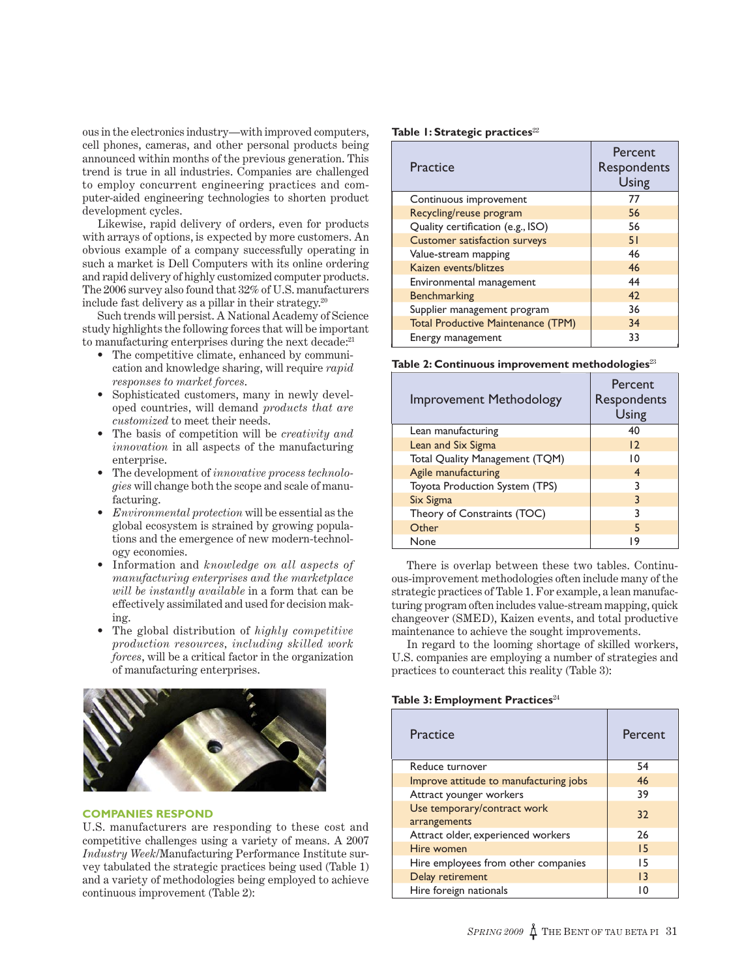ous in the electronics industry—with improved computers, cell phones, cameras, and other personal products being announced within months of the previous generation. This trend is true in all industries. Companies are challenged to employ concurrent engineering practices and computer-aided engineering technologies to shorten product development cycles.

Likewise, rapid delivery of orders, even for products with arrays of options, is expected by more customers. An obvious example of a company successfully operating in such a market is Dell Computers with its online ordering and rapid delivery of highly customized computer products. The 2006 survey also found that 32% of U.S. manufacturers include fast delivery as a pillar in their strategy.<sup>20</sup>

Such trends will persist. A National Academy of Science study highlights the following forces that will be important to manufacturing enterprises during the next decade:<sup>21</sup>

- The competitive climate, enhanced by communication and knowledge sharing, will require *rapid responses to market forces*.
- Sophisticated customers, many in newly developed countries, will demand *products that are customized* to meet their needs.
- The basis of competition will be *creativity and innovation* in all aspects of the manufacturing enterprise.
- The development of *innovative process technologies* will change both the scope and scale of manufacturing.
- *Environmental protection* will be essential as the global ecosystem is strained by growing populations and the emergence of new modern-technology economies.
- Information and *knowledge on all aspects of manufacturing enterprises and the marketplace will be instantly available* in a form that can be effectively assimilated and used for decision making.
- The global distribution of *highly competitive production resources, including skilled work forces*, will be a critical factor in the organization of manufacturing enterprises.



## **COMPANIES RESPOND**

U.S. manufacturers are responding to these cost and competitive challenges using a variety of means. A 2007 *Industry Week*/Manufacturing Performance Institute survey tabulated the strategic practices being used (Table 1) and a variety of methodologies being employed to achieve continuous improvement (Table 2):

#### **Table 1: Strategic practices**<sup>22</sup>

| Practice                                  | Percent<br>Respondents<br>Using |
|-------------------------------------------|---------------------------------|
| Continuous improvement                    | 77                              |
| Recycling/reuse program                   | 56                              |
| Quality certification (e.g., ISO)         | 56                              |
| <b>Customer satisfaction surveys</b>      | 51                              |
| Value-stream mapping                      | 46                              |
| Kaizen events/blitzes                     | 46                              |
| Environmental management                  | 44                              |
| <b>Benchmarking</b>                       | 42                              |
| Supplier management program               | 36                              |
| <b>Total Productive Maintenance (TPM)</b> | 34                              |
| Energy management                         | 33                              |

**Table 2: Continuous improvement methodologies**<sup>23</sup>

| <b>Improvement Methodology</b> | <b>Percent</b><br>Respondents<br>Using |
|--------------------------------|----------------------------------------|
| Lean manufacturing             | 40                                     |
| Lean and Six Sigma             | 12                                     |
| Total Quality Management (TQM) | 10                                     |
| Agile manufacturing            | 4                                      |
| Toyota Production System (TPS) | 3                                      |
| Six Sigma                      | 3                                      |
| Theory of Constraints (TOC)    | 3                                      |
| Other                          | 5                                      |
| None                           | 9                                      |

There is overlap between these two tables. Continuous-improvement methodologies often include many of the strategic practices of Table 1. For example, a lean manufacturing program often includes value-stream mapping, quick changeover (SMED), Kaizen events, and total productive maintenance to achieve the sought improvements.

In regard to the looming shortage of skilled workers, U.S. companies are employing a number of strategies and practices to counteract this reality (Table 3):

#### **Table 3: Employment Practices**<sup>24</sup>

| Practice                                    | Percent         |
|---------------------------------------------|-----------------|
| Reduce turnover                             | 54              |
| Improve attitude to manufacturing jobs      | 46              |
| Attract younger workers                     | 39              |
| Use temporary/contract work<br>arrangements | 32              |
| Attract older, experienced workers          | 26              |
| Hire women                                  | 15              |
| Hire employees from other companies         | 15              |
| Delay retirement                            | $\overline{13}$ |
| Hire foreign nationals                      | ۱0              |